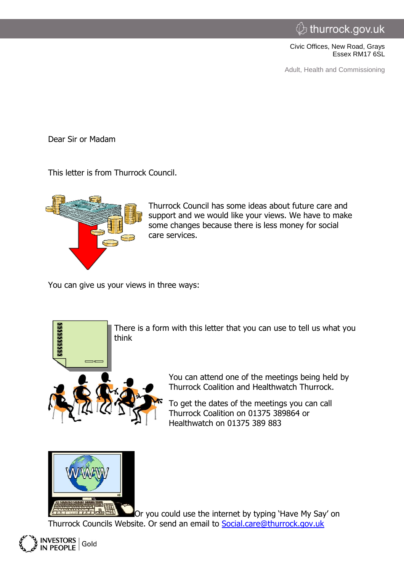Civic Offices, New Road, Grays Essex RM17 6SL

Adult, Health and Commissioning

Dear Sir or Madam

This letter is from Thurrock Council.



Thurrock Council has some ideas about future care and support and we would like your views. We have to make some changes because there is less money for social care services.

You can give us your views in three ways:



There is a form with this letter that you can use to tell us what you<br>think<br>states of think

You can attend one of the meetings being held by Thurrock Coalition and Healthwatch Thurrock.

To get the dates of the meetings you can call Thurrock Coalition on 01375 389864 or Healthwatch on 01375 389 883



Or you could use the internet by typing 'Have My Say' on Thurrock Councils Website. Or send an email to [Social.care@thurrock.gov.uk](mailto:Social.care@thurrock.gov.uk)

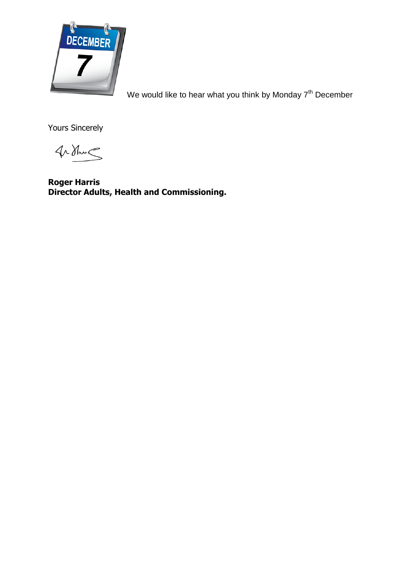

[W](http://www.google.co.uk/url?sa=i&rct=j&q=&esrc=s&frm=1&source=images&cd=&cad=rja&uact=8&ved=0CAcQjRxqFQoTCIuXo7SvksgCFcW4FAodRTkIXw&url=http%3A%2F%2Fiftodayisyourbirthday.com%2Fborndecember7%2F&bvm=bv.103627116,d.ZGU&psig=AFQjCNHrRV6Nj8PGbeevLgdSG-AdporphA&ust=1443276718901960)e would like to hear what you think by Monday 7<sup>th</sup> December

Yours Sincerely

 $4\Delta$ Ham $\leq$ 

**Roger Harris Director Adults, Health and Commissioning.**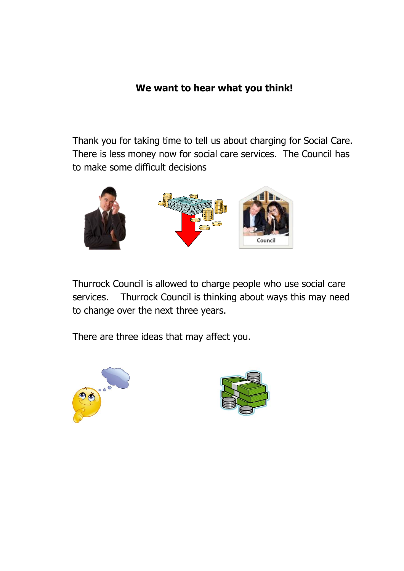## **We want to hear what you think!**

Thank you for taking time to tell us about charging for Social Care. There is less money now for social care services. The Council has to make some difficult decisions



Thurrock Council is allowed to charge people who use social care services. Thurrock Council is thinking about ways this may need to change over the next three years.

There are three ideas that may affect you.



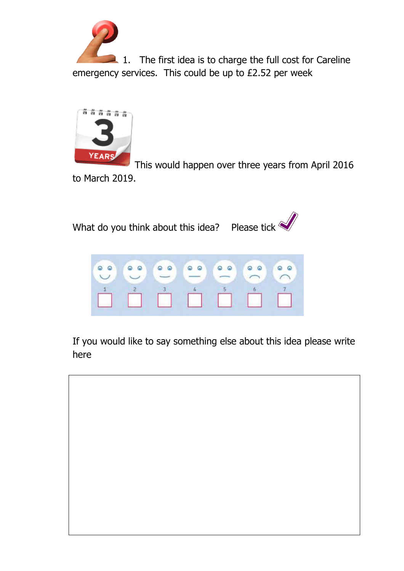1. The first idea is to charge the full cost for Careline emergency services. This could be up to £2.52 per week



[T](http://www.google.co.uk/url?sa=i&rct=j&q=&esrc=s&frm=1&source=images&cd=&cad=rja&uact=8&ved=0CAcQjRxqFQoTCNWTve_xkcgCFUXvFAodScwO4w&url=http://wassonthornhill.com/i-heard-it-takes-years-to-get-rid-of-your-debts-under-chapter-13/&psig=AFQjCNE45tYPSso2P33qOAmUh-18vLOuYg&ust=1443260327295778)his would happen over three years from April 2016 to March 2019.





If you would like to say something else about this idea please write here

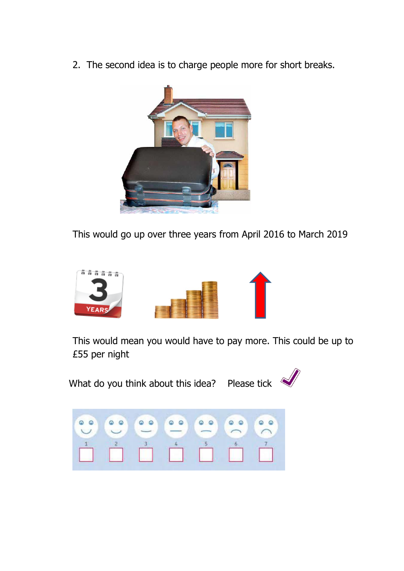2. The second idea is to charge people more for short breaks.



This would go up over three years from April 2016 to March 2019



This would mean you would have to pay more. This could be up to £55 per night

What do you think about this idea? Please tick  $\sqrt{2}$ 



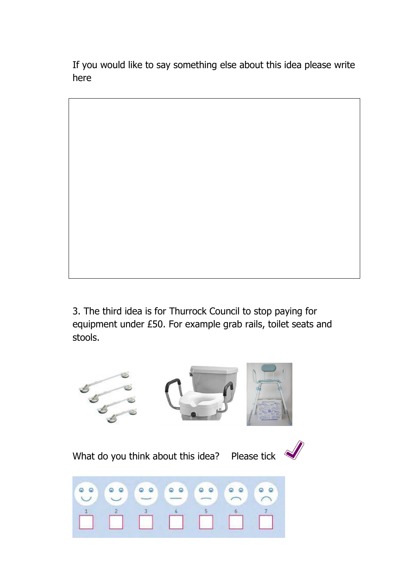If you would like to say something else about this idea please write here



3. The third idea is for Thurrock Council to stop paying for equipment under £50. For example grab rails, toilet seats and stools.

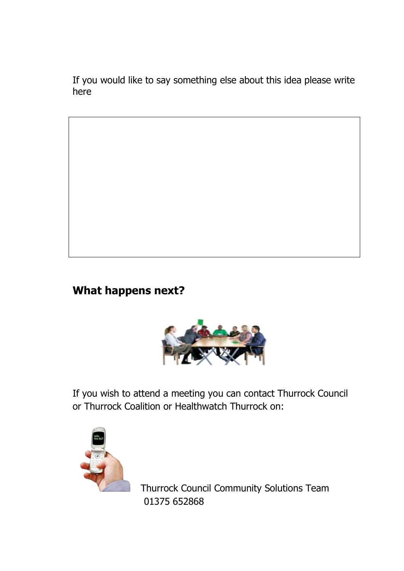If you would like to say something else about this idea please write here

## **What happens next?**



If you wish to attend a meeting you can contact Thurrock Council or Thurrock Coalition or Healthwatch Thurrock on:



Thurrock Council Community Solutions Team 01375 652868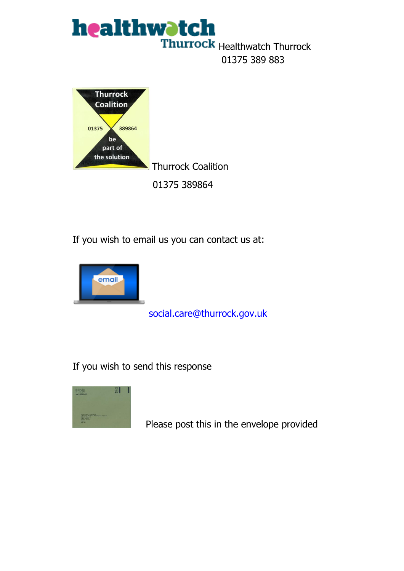



If you wish to email us you can contact us at:



[social.care@thurrock.gov.uk](mailto:social.care@thurrock.gov.uk)

If you wish to send this response



Please post this in the envelope provided